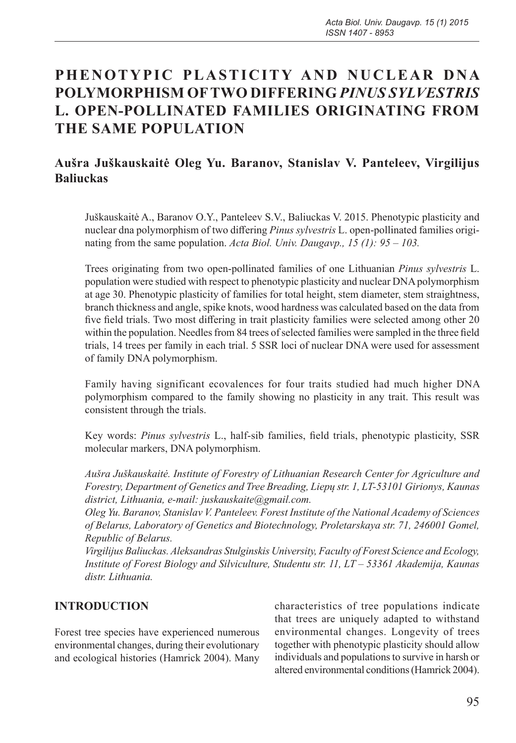# **PHENOTYPIC PLASTICITY AND NUCLEAR DNA POLYMORPHISM OF TWO DIFFERING** *PINUS SYLVESTRIS*  **L. OPEN-POLLINATED FAMILIES ORIGINATING FROM THE SAME POPULATION**

# **Aušra Juškauskaitė Oleg Yu. Baranov, Stanislav V. Panteleev, Virgilijus Baliuckas**

Juškauskaitė A., Baranov O.Y., Panteleev S.V., Baliuckas V. 2015. Phenotypic plasticity and nuclear dna polymorphism of two differing *Pinus sylvestris* L. open-pollinated families originating from the same population. *Acta Biol. Univ. Daugavp., 15 (1): 95 – 103.*

Trees originating from two open-pollinated families of one Lithuanian *Pinus sylvestris* L. population were studied with respect to phenotypic plasticity and nuclear DNA polymorphism at age 30. Phenotypic plasticity of families for total height, stem diameter, stem straightness, branch thickness and angle, spike knots, wood hardness was calculated based on the data from five field trials. Two most differing in trait plasticity families were selected among other 20 within the population. Needles from 84 trees of selected families were sampled in the three field trials, 14 trees per family in each trial. 5 SSR loci of nuclear DNA were used for assessment of family DNA polymorphism.

Family having significant ecovalences for four traits studied had much higher DNA polymorphism compared to the family showing no plasticity in any trait. This result was consistent through the trials.

Key words: *Pinus sylvestris* L., half-sib families, field trials, phenotypic plasticity, SSR molecular markers, DNA polymorphism.

*Aušra Juškauskaitė. Institute of Forestry of Lithuanian Research Center for Agriculture and Forestry, Department of Genetics and Tree Breading, Liepų str. 1, LT-53101 Girionys, Kaunas district, Lithuania, e-mail: juskauskaite@gmail.com.*

*Oleg Yu. Baranov, Stanislav V. Panteleev. Forest Institute of the National Academy of Sciences of Belarus, Laboratory of Genetics and Biotechnology, Proletarskaya str. 71, 246001 Gomel, Republic of Belarus.*

*Virgilijus Baliuckas. Aleksandras Stulginskis University, Faculty of Forest Science and Ecology, Institute of Forest Biology and Silviculture, Studentu str. 11, LT – 53361 Akademija, Kaunas distr. Lithuania.* 

## **INTRODUCTION**

Forest tree species have experienced numerous environmental changes, during their evolutionary and ecological histories (Hamrick 2004). Many characteristics of tree populations indicate that trees are uniquely adapted to withstand environmental changes. Longevity of trees together with phenotypic plasticity should allow individuals and populations to survive in harsh or altered environmental conditions (Hamrick 2004).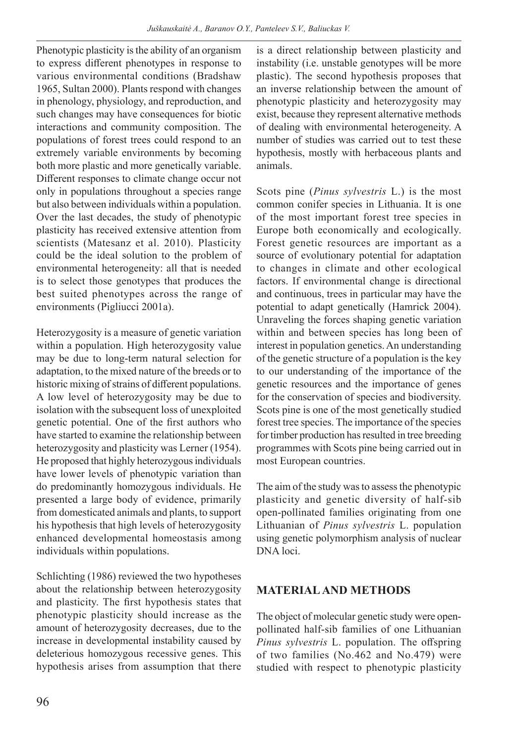Phenotypic plasticity is the ability of an organism to express different phenotypes in response to various environmental conditions (Bradshaw 1965, Sultan 2000). Plants respond with changes in phenology, physiology, and reproduction, and such changes may have consequences for biotic interactions and community composition. The populations of forest trees could respond to an extremely variable environments by becoming both more plastic and more genetically variable. Different responses to climate change occur not only in populations throughout a species range but also between individuals within a population. Over the last decades, the study of phenotypic plasticity has received extensive attention from scientists (Matesanz et al. 2010). Plasticity could be the ideal solution to the problem of environmental heterogeneity: all that is needed is to select those genotypes that produces the best suited phenotypes across the range of environments (Pigliucci 2001a).

Heterozygosity is a measure of genetic variation within a population. High heterozygosity value may be due to long-term natural selection for adaptation, to the mixed nature of the breeds or to historic mixing of strains of different populations. A low level of heterozygosity may be due to isolation with the subsequent loss of unexploited genetic potential. One of the first authors who have started to examine the relationship between heterozygosity and plasticity was Lerner (1954). He proposed that highly heterozygous individuals have lower levels of phenotypic variation than do predominantly homozygous individuals. He presented a large body of evidence, primarily from domesticated animals and plants, to support his hypothesis that high levels of heterozygosity enhanced developmental homeostasis among individuals within populations.

Schlichting (1986) reviewed the two hypotheses about the relationship between heterozygosity and plasticity. The first hypothesis states that phenotypic plasticity should increase as the amount of heterozygosity decreases, due to the increase in developmental instability caused by deleterious homozygous recessive genes. This hypothesis arises from assumption that there is a direct relationship between plasticity and instability (i.e. unstable genotypes will be more plastic). The second hypothesis proposes that an inverse relationship between the amount of phenotypic plasticity and heterozygosity may exist, because they represent alternative methods of dealing with environmental heterogeneity. A number of studies was carried out to test these hypothesis, mostly with herbaceous plants and animals.

Scots pine (*Pinus sylvestris* L.) is the most common conifer species in Lithuania. It is one of the most important forest tree species in Europe both economically and ecologically. Forest genetic resources are important as a source of evolutionary potential for adaptation to changes in climate and other ecological factors. If environmental change is directional and continuous, trees in particular may have the potential to adapt genetically (Hamrick 2004). Unraveling the forces shaping genetic variation within and between species has long been of interest in population genetics. An understanding of the genetic structure of a population is the key to our understanding of the importance of the genetic resources and the importance of genes for the conservation of species and biodiversity. Scots pine is one of the most genetically studied forest tree species. The importance of the species for timber production has resulted in tree breeding programmes with Scots pine being carried out in most European countries.

The aim of the study was to assess the phenotypic plasticity and genetic diversity of half-sib open-pollinated families originating from one Lithuanian of *Pinus sylvestris* L. population using genetic polymorphism analysis of nuclear DNA loci.

## **MATERIAL AND METHODS**

The object of molecular genetic study were openpollinated half-sib families of one Lithuanian *Pinus sylvestris* L. population. The offspring of two families (No.462 and No.479) were studied with respect to phenotypic plasticity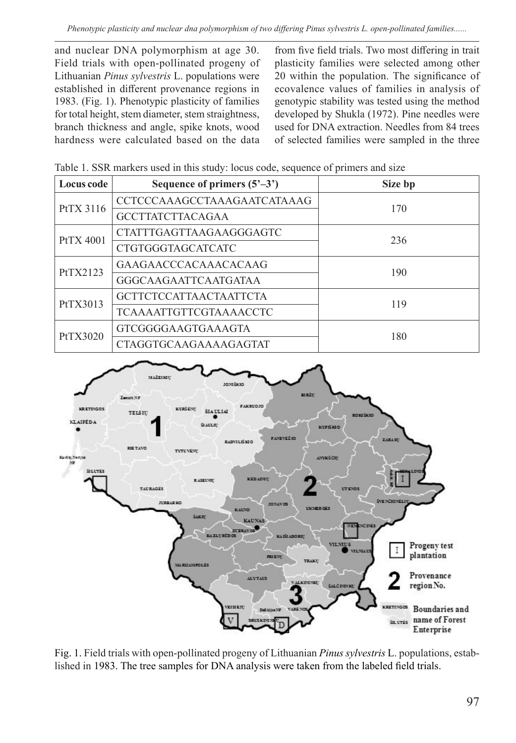and nuclear DNA polymorphism at age 30. Field trials with open-pollinated progeny of Lithuanian *Pinus sylvestris* L. populations were established in different provenance regions in 1983. (Fig. 1). Phenotypic plasticity of families for total height, stem diameter, stem straightness, branch thickness and angle, spike knots, wood hardness were calculated based on the data

from five field trials. Two most differing in trait plasticity families were selected among other 20 within the population. The significance of ecovalence values of families in analysis of genotypic stability was tested using the method developed by Shukla (1972). Pine needles were used for DNA extraction. Needles from 84 trees of selected families were sampled in the three

Table 1. SSR markers used in this study: locus code, sequence of primers and size

| Locus code       | Sequence of primers $(5^{\circ}-3^{\circ})$ | Size bp |  |
|------------------|---------------------------------------------|---------|--|
| PtTX 3116        | CCTCCCAAAGCCTAAAGAATCATAAAG                 | 170     |  |
|                  | <b>GCCTTATCTTACAGAA</b>                     |         |  |
| <b>PtTX 4001</b> | CTATTTGAGTTAAGAAGGGAGTC                     | 236     |  |
|                  | <b>CTGTGGGTAGCATCATC</b>                    |         |  |
| PtTX2123         | GAAGAACCCACAAACACAAG                        | 190     |  |
|                  | GGGCAAGAATTCAATGATAA                        |         |  |
| PtTX3013         | <b>GCTTCTCCATTAACTAATTCTA</b>               | 119     |  |
|                  | <b>TCAAAATTGTTCGTAAAACCTC</b>               |         |  |
| PtTX3020         | GTCGGGGAAGTGAAAGTA                          | 180     |  |
|                  | <b>CTAGGTGCAAGAAAAGAGTAT</b>                |         |  |



Fig. 1. Field trials with open-pollinated progeny of Lithuanian *Pinus sylvestris* L. populations, established in 1983. The tree samples for DNA analysis were taken from the labeled field trials.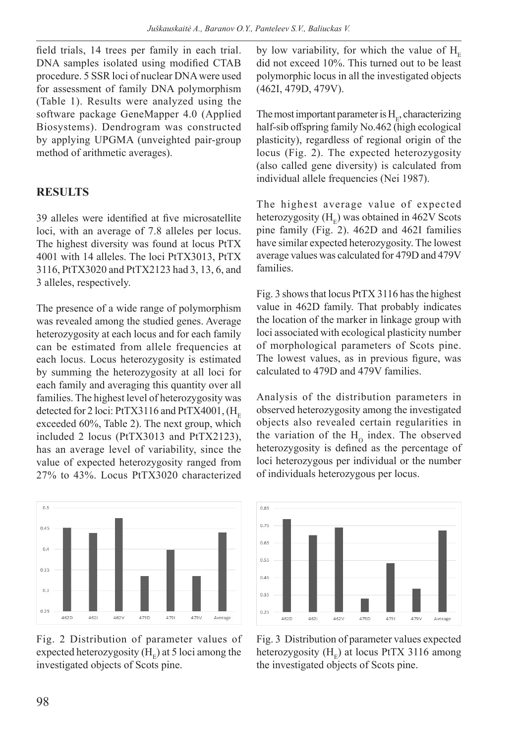field trials, 14 trees per family in each trial. DNA samples isolated using modified CTAB procedure. 5 SSR loci of nuclear DNA were used for assessment of family DNA polymorphism (Table 1). Results were analyzed using the software package GeneMapper 4.0 (Applied Biosystems). Dendrogram was constructed by applying UPGMA (unveighted pair-group method of arithmetic averages).

# **RESULTS**

39 alleles were identified at five microsatellite loci, with an average of 7.8 alleles per locus. The highest diversity was found at locus PtTX 4001 with 14 alleles. The loci PtTX3013, PtTX 3116, PtTX3020 and PtTX2123 had 3, 13, 6, and 3 alleles, respectively.

The presence of a wide range of polymorphism was revealed among the studied genes. Average heterozygosity at each locus and for each family can be estimated from allele frequencies at each locus. Locus heterozygosity is estimated by summing the heterozygosity at all loci for each family and averaging this quantity over all families. The highest level of heterozygosity was detected for 2 loci: PtTX3116 and PtTX4001,  $(H_{E})$ exceeded 60%, Table 2). The next group, which included 2 locus (PtTX3013 and PtTX2123), has an average level of variability, since the value of expected heterozygosity ranged from 27% to 43%. Locus PtTX3020 characterized



Fig. 2 Distribution of parameter values of expected heterozygosity  $(H<sub>c</sub>)$  at 5 loci among the investigated objects of Scots pine.

by low variability, for which the value of  $H_{E}$ did not exceed 10%. This turned out to be least polymorphic locus in all the investigated objects (462I, 479D, 479V).

The most important parameter is  $H<sub>e</sub>$ , characterizing half-sib offspring family No.462 (high ecological plasticity), regardless of regional origin of the locus (Fig. 2). The expected heterozygosity (also called gene diversity) is calculated from individual allele frequencies (Nei 1987).

The highest average value of expected heterozygosity  $(H<sub>r</sub>)$  was obtained in 462V Scots pine family (Fig. 2). 462D and 462I families have similar expected heterozygosity. The lowest average values was calculated for 479D and 479V families.

Fig. 3 shows that locus PtTX 3116 has the highest value in 462D family. That probably indicates the location of the marker in linkage group with loci associated with ecological plasticity number of morphological parameters of Scots pine. The lowest values, as in previous figure, was calculated to 479D and 479V families.

Analysis of the distribution parameters in observed heterozygosity among the investigated objects also revealed certain regularities in the variation of the  $H_0$  index. The observed heterozygosity is defined as the percentage of loci heterozygous per individual or the number of individuals heterozygous per locus.



Fig. 3 Distribution of parameter values expected heterozygosity  $(H_F)$  at locus PtTX 3116 among the investigated objects of Scots pine.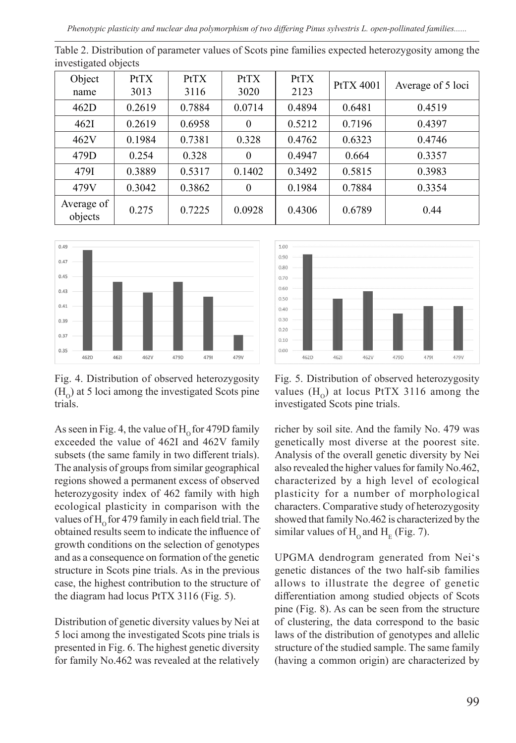*Phenotypic plasticity and nuclear dna polymorphism of two differing Pinus sylvestris L. open-pollinated families......*

| $\mu$ , obergatoa objecto |                     |              |                     |              |                  |                   |  |  |
|---------------------------|---------------------|--------------|---------------------|--------------|------------------|-------------------|--|--|
| Object<br>name            | <b>PtTX</b><br>3013 | PtTX<br>3116 | <b>PtTX</b><br>3020 | PtTX<br>2123 | <b>PtTX 4001</b> | Average of 5 loci |  |  |
| 462D                      | 0.2619              | 0.7884       | 0.0714              | 0.4894       | 0.6481           | 0.4519            |  |  |
| 462I                      | 0.2619              | 0.6958       | $\theta$            | 0.5212       | 0.7196           | 0.4397            |  |  |
| 462V                      | 0.1984              | 0.7381       | 0.328               | 0.4762       | 0.6323           | 0.4746            |  |  |
| 479D                      | 0.254               | 0.328        | $\theta$            | 0.4947       | 0.664            | 0.3357            |  |  |
| 479I                      | 0.3889              | 0.5317       | 0.1402              | 0.3492       | 0.5815           | 0.3983            |  |  |
| 479V                      | 0.3042              | 0.3862       | $\mathbf{0}$        | 0.1984       | 0.7884           | 0.3354            |  |  |
| Average of<br>objects     | 0.275               | 0.7225       | 0.0928              | 0.4306       | 0.6789           | 0.44              |  |  |

Table 2. Distribution of parameter values of Scots pine families expected heterozygosity among the investigated objects



Fig. 4. Distribution of observed heterozygosity  $(H<sub>o</sub>)$  at 5 loci among the investigated Scots pine trials.

As seen in Fig. 4, the value of  $H_0$  for 479D family exceeded the value of 462I and 462V family subsets (the same family in two different trials). The analysis of groups from similar geographical regions showed a permanent excess of observed heterozygosity index of 462 family with high ecological plasticity in comparison with the values of  $H<sub>o</sub>$  for 479 family in each field trial. The obtained results seem to indicate the influence of growth conditions on the selection of genotypes and as a consequence on formation of the genetic structure in Scots pine trials. As in the previous case, the highest contribution to the structure of the diagram had locus PtTX 3116 (Fig. 5).

Distribution of genetic diversity values by Nei at 5 loci among the investigated Scots pine trials is presented in Fig. 6. The highest genetic diversity for family No.462 was revealed at the relatively



Fig. 5. Distribution of observed heterozygosity values  $(H_0)$  at locus PtTX 3116 among the investigated Scots pine trials.

richer by soil site. And the family No. 479 was genetically most diverse at the poorest site. Analysis of the overall genetic diversity by Nei also revealed the higher values for family No.462, characterized by a high level of ecological plasticity for a number of morphological characters. Comparative study of heterozygosity showed that family No.462 is characterized by the similar values of  $H_0$  and  $H_E$  (Fig. 7).

UPGMA dendrogram generated from Nei's genetic distances of the two half-sib families allows to illustrate the degree of genetic differentiation among studied objects of Scots pine (Fig. 8). As can be seen from the structure of clustering, the data correspond to the basic laws of the distribution of genotypes and allelic structure of the studied sample. The same family (having a common origin) are characterized by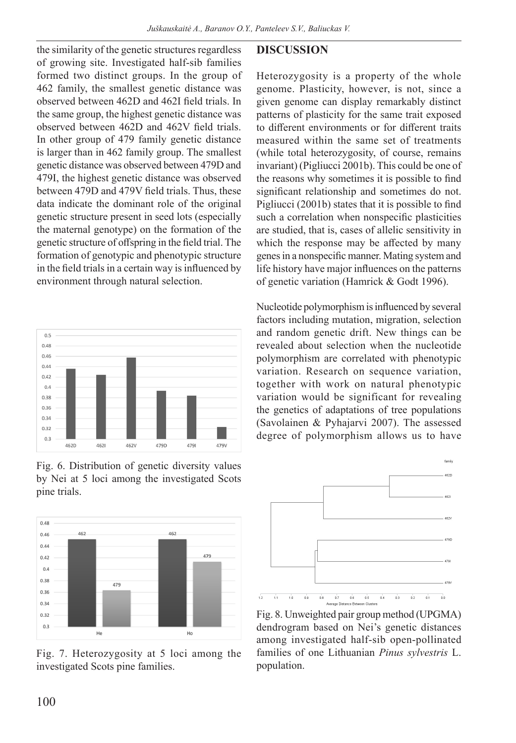the similarity of the genetic structures regardless of growing site. Investigated half-sib families formed two distinct groups. In the group of 462 family, the smallest genetic distance was observed between 462D and 462I field trials. In the same group, the highest genetic distance was observed between 462D and 462V field trials. In other group of 479 family genetic distance is larger than in 462 family group. The smallest genetic distance was observed between 479D and 479I, the highest genetic distance was observed between 479D and 479V field trials. Thus, these data indicate the dominant role of the original genetic structure present in seed lots (especially the maternal genotype) on the formation of the genetic structure of offspring in the field trial. The formation of genotypic and phenotypic structure in the field trials in a certain way is influenced by environment through natural selection.



Fig. 6. Distribution of genetic diversity values by Nei at 5 loci among the investigated Scots pine trials.



Fig. 7. Heterozygosity at 5 loci among the investigated Scots pine families.

## **DISCUSSION**

Heterozygosity is a property of the whole genome. Plasticity, however, is not, since a given genome can display remarkably distinct patterns of plasticity for the same trait exposed to different environments or for different traits measured within the same set of treatments (while total heterozygosity, of course, remains invariant) (Pigliucci 2001b). This could be one of the reasons why sometimes it is possible to find significant relationship and sometimes do not. Pigliucci (2001b) states that it is possible to find such a correlation when nonspecific plasticities are studied, that is, cases of allelic sensitivity in which the response may be affected by many genes in a nonspecific manner. Mating system and life history have major influences on the patterns of genetic variation (Hamrick & Godt 1996).

Nucleotide polymorphism is influenced by several factors including mutation, migration, selection and random genetic drift. New things can be revealed about selection when the nucleotide polymorphism are correlated with phenotypic variation. Research on sequence variation, together with work on natural phenotypic variation would be significant for revealing the genetics of adaptations of tree populations (Savolainen & Pyhajarvi 2007). The assessed degree of polymorphism allows us to have



Fig. 8. Unweighted pair group method (UPGMA) dendrogram based on Nei's genetic distances among investigated half-sib open-pollinated families of one Lithuanian *Pinus sylvestris* L. population.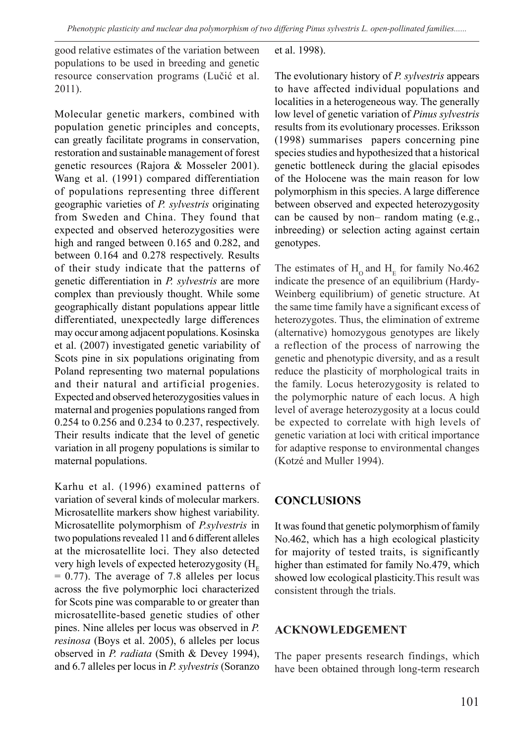good relative estimates of the variation between populations to be used in breeding and genetic resource conservation programs (Lučić et al. 2011).

Molecular genetic markers, combined with population genetic principles and concepts, can greatly facilitate programs in conservation, restoration and sustainable management of forest genetic resources (Rajora & Mosseler 2001). Wang et al. (1991) compared differentiation of populations representing three different geographic varieties of *P. sylvestris* originating from Sweden and China. They found that expected and observed heterozygosities were high and ranged between 0.165 and 0.282, and between 0.164 and 0.278 respectively. Results of their study indicate that the patterns of genetic differentiation in *P. sylvestris* are more complex than previously thought. While some geographically distant populations appear little differentiated, unexpectedly large differences may occur among adjacent populations. Kosinska et al. (2007) investigated genetic variability of Scots pine in six populations originating from Poland representing two maternal populations and their natural and artificial progenies. Expected and observed heterozygosities values in maternal and progenies populations ranged from 0.254 to 0.256 and 0.234 to 0.237, respectively. Their results indicate that the level of genetic variation in all progeny populations is similar to maternal populations.

Karhu et al. (1996) examined patterns of variation of several kinds of molecular markers. Microsatellite markers show highest variability. Microsatellite polymorphism of *P.sylvestris* in two populations revealed 11 and 6 different alleles at the microsatellite loci. They also detected very high levels of expected heterozygosity (H<sub>F</sub>  $= 0.77$ ). The average of 7.8 alleles per locus across the five polymorphic loci characterized for Scots pine was comparable to or greater than microsatellite-based genetic studies of other pines. Nine alleles per locus was observed in *P. resinosa* (Boys et al. 2005), 6 alleles per locus observed in *P. radiata* (Smith & Devey 1994), and 6.7 alleles per locus in *P. sylvestris* (Soranzo

#### et al. 1998).

The evolutionary history of *P. sylvestris* appears to have affected individual populations and localities in a heterogeneous way. The generally low level of genetic variation of *Pinus sylvestris*  results from its evolutionary processes. Eriksson (1998) summarises papers concerning pine species studies and hypothesized that a historical genetic bottleneck during the glacial episodes of the Holocene was the main reason for low polymorphism in this species. A large difference between observed and expected heterozygosity can be caused by non– random mating (e.g., inbreeding) or selection acting against certain genotypes.

The estimates of  $H_0$  and  $H_E$  for family No.462 indicate the presence of an equilibrium (Hardy-Weinberg equilibrium) of genetic structure. At the same time family have a significant excess of heterozygotes. Thus, the elimination of extreme (alternative) homozygous genotypes are likely a reflection of the process of narrowing the genetic and phenotypic diversity, and as a result reduce the plasticity of morphological traits in the family. Locus heterozygosity is related to the polymorphic nature of each locus. A high level of average heterozygosity at a locus could be expected to correlate with high levels of genetic variation at loci with critical importance for adaptive response to environmental changes (Kotzé and Muller 1994).

#### **CONCLUSIONS**

It was found that genetic polymorphism of family No.462, which has a high ecological plasticity for majority of tested traits, is significantly higher than estimated for family No.479, which showed low ecological plasticity.This result was consistent through the trials.

#### **ACKNOWLEDGEMENT**

The paper presents research findings, which have been obtained through long-term research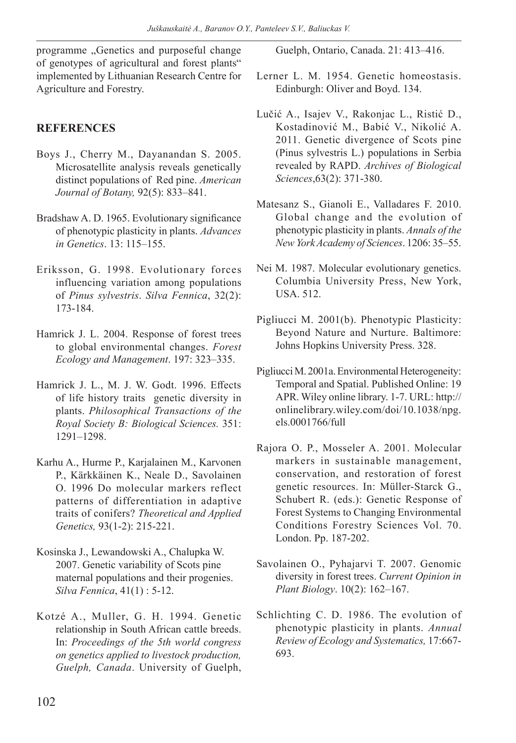programme "Genetics and purposeful change of genotypes of agricultural and forest plants" implemented by Lithuanian Research Centre for Agriculture and Forestry.

## **REFERENCES**

- Boys J., Cherry M., Dayanandan S. 2005. Microsatellite analysis reveals genetically distinct populations of Red pine. *American Journal of Botany,* 92(5): 833–841.
- Bradshaw A. D. 1965. Evolutionary significance of phenotypic plasticity in plants. *Advances in Genetics*. 13: 115–155.
- Eriksson, G. 1998. Evolutionary forces influencing variation among populations of *Pinus sylvestris*. *Silva Fennica*, 32(2): 173-184.
- Hamrick J. L. 2004. Response of forest trees to global environmental changes. *Forest Ecology and Management*. 197: 323–335.
- Hamrick J. L., M. J. W. Godt. 1996. Effects of life history traits genetic diversity in plants. *Philosophical Transactions of the Royal Society B: Biological Sciences.* 351: 1291–1298.
- Karhu A., Hurme P., Karjalainen M., Karvonen P., Kärkkäinen K., Neale D., Savolainen O. 1996 Do molecular markers reflect patterns of differentiation in adaptive traits of conifers? *Theoretical and Applied Genetics,* 93(1-2): 215-221.
- Kosinska J., Lewandowski A., Chalupka W. 2007. Genetic variability of Scots pine maternal populations and their progenies. *Silva Fennica*, 41(1) : 5-12.
- Kotzé A., Muller, G. H. 1994. Genetic relationship in South African cattle breeds. In: *Proceedings of the 5th world congress on genetics applied to livestock production, Guelph, Canada*. University of Guelph,

Guelph, Ontario, Canada. 21: 413–416.

- Lerner L. M. 1954. Genetic homeostasis. Edinburgh: Oliver and Boyd. 134.
- Lučić A., Isajev V., Rakonjac L., Ristić D., Kostadinović M., Babić V., Nikolić A. 2011. Genetic divergence of Scots pine (Pinus sylvestris L.) populations in Serbia revealed by RAPD. *Archives of Biological Sciences*,63(2): 371-380.
- Matesanz S., Gianoli E., Valladares F. 2010. Global change and the evolution of phenotypic plasticity in plants. *Annals of the New York Academy of Sciences*. 1206: 35–55.
- Nei M. 1987. Molecular evolutionary genetics. Columbia University Press, New York, USA. 512.
- Pigliucci M. 2001(b). Phenotypic Plasticity: Beyond Nature and Nurture. Baltimore: Johns Hopkins University Press. 328.
- Pigliucci M. 2001a. Environmental Heterogeneity: Temporal and Spatial. Published Online: 19 APR. Wiley online library. 1-7. URL: http:// onlinelibrary.wiley.com/doi/10.1038/npg. els.0001766/full
- Rajora O. P., Mosseler A. 2001. Molecular markers in sustainable management, conservation, and restoration of forest genetic resources. In: Müller-Starck G., Schubert R. (eds.): Genetic Response of Forest Systems to Changing Environmental Conditions Forestry Sciences Vol. 70. London. Pp. 187-202.
- Savolainen O., Pyhajarvi T. 2007. Genomic diversity in forest trees. *Current Opinion in Plant Biology*. 10(2): 162–167.
- Schlichting C. D. 1986. The evolution of phenotypic plasticity in plants. *Annual Review of Ecology and Systematics,* 17:667- 693.